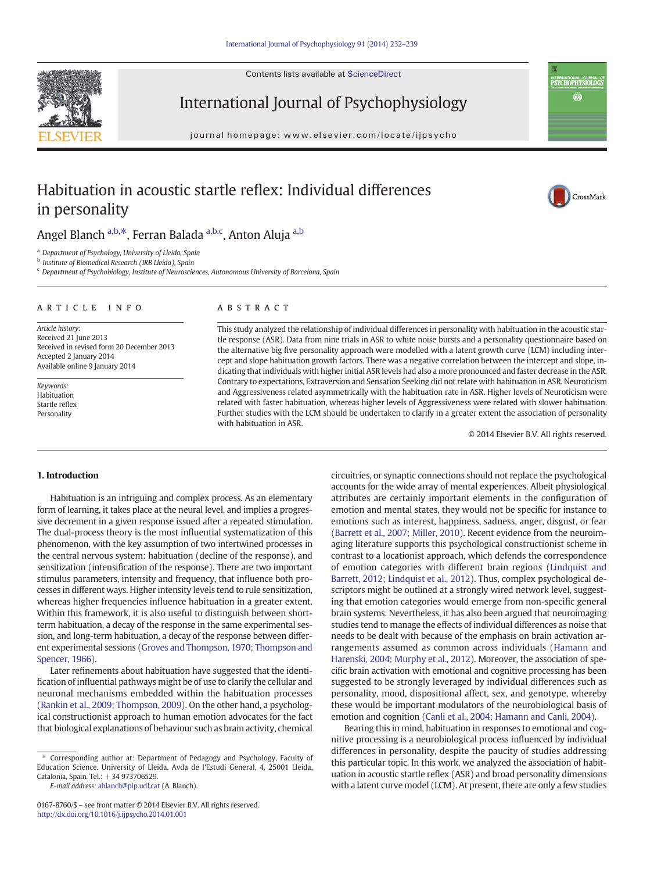Contents lists available at ScienceDirect





## International Journal of Psychophysiology

journal homepage: www.elsevier.com/locate/ijpsycho

### Habituation in acoustic startle reflex: Individual differences in personality



### Angel Blanch <sup>a,b,\*</sup>, Ferran Balada <sup>a,b,c</sup>, Anton Aluja <sup>a,b</sup>

<sup>a</sup> Department of Psychology, University of Lleida, Spain

<sup>b</sup> Institute of Biomedical Research (IRB Lleida), Spain

<sup>c</sup> Department of Psychobiology, Institute of Neurosciences, Autonomous University of Barcelona, Spain

#### article info abstract

Article history: Received 21 June 2013 Received in revised form 20 December 2013 Accepted 2 January 2014 Available online 9 January 2014

Keywords: Habituation Startle reflex Personality

This study analyzed the relationship of individual differences in personality with habituation in the acoustic startle response (ASR). Data from nine trials in ASR to white noise bursts and a personality questionnaire based on the alternative big five personality approach were modelled with a latent growth curve (LCM) including intercept and slope habituation growth factors. There was a negative correlation between the intercept and slope, indicating that individuals with higher initial ASR levels had also a more pronounced and faster decrease in the ASR. Contrary to expectations, Extraversion and Sensation Seeking did not relate with habituation in ASR. Neuroticism and Aggressiveness related asymmetrically with the habituation rate in ASR. Higher levels of Neuroticism were related with faster habituation, whereas higher levels of Aggressiveness were related with slower habituation. Further studies with the LCM should be undertaken to clarify in a greater extent the association of personality with habituation in ASR.

© 2014 Elsevier B.V. All rights reserved.

### 1. Introduction

Habituation is an intriguing and complex process. As an elementary form of learning, it takes place at the neural level, and implies a progressive decrement in a given response issued after a repeated stimulation. The dual-process theory is the most influential systematization of this phenomenon, with the key assumption of two intertwined processes in the central nervous system: habituation (decline of the response), and sensitization (intensification of the response). There are two important stimulus parameters, intensity and frequency, that influence both processes in different ways. Higher intensity levels tend to rule sensitization, whereas higher frequencies influence habituation in a greater extent. Within this framework, it is also useful to distinguish between shortterm habituation, a decay of the response in the same experimental session, and long-term habituation, a decay of the response between different experimental sessions [\(Groves and Thompson, 1970; Thompson and](#page--1-0) [Spencer, 1966\)](#page--1-0).

Later refinements about habituation have suggested that the identification of influential pathways might be of use to clarify the cellular and neuronal mechanisms embedded within the habituation processes [\(Rankin et al., 2009; Thompson, 2009](#page--1-0)). On the other hand, a psychological constructionist approach to human emotion advocates for the fact that biological explanations of behaviour such as brain activity, chemical

E-mail address: [ablanch@pip.udl.cat](mailto:ablanch@pip.udl.cat) (A. Blanch).

0167-8760/\$ – see front matter © 2014 Elsevier B.V. All rights reserved. <http://dx.doi.org/10.1016/j.ijpsycho.2014.01.001>

circuitries, or synaptic connections should not replace the psychological accounts for the wide array of mental experiences. Albeit physiological attributes are certainly important elements in the configuration of emotion and mental states, they would not be specific for instance to emotions such as interest, happiness, sadness, anger, disgust, or fear [\(Barrett et al., 2007; Miller, 2010\)](#page--1-0). Recent evidence from the neuroimaging literature supports this psychological constructionist scheme in contrast to a locationist approach, which defends the correspondence of emotion categories with different brain regions [\(Lindquist and](#page--1-0) [Barrett, 2012; Lindquist et al., 2012](#page--1-0)). Thus, complex psychological descriptors might be outlined at a strongly wired network level, suggesting that emotion categories would emerge from non-specific general brain systems. Nevertheless, it has also been argued that neuroimaging studies tend to manage the effects of individual differences as noise that needs to be dealt with because of the emphasis on brain activation arrangements assumed as common across individuals ([Hamann and](#page--1-0) [Harenski, 2004; Murphy et al., 2012](#page--1-0)). Moreover, the association of specific brain activation with emotional and cognitive processing has been suggested to be strongly leveraged by individual differences such as personality, mood, dispositional affect, sex, and genotype, whereby these would be important modulators of the neurobiological basis of emotion and cognition ([Canli et al., 2004; Hamann and Canli, 2004](#page--1-0)).

Bearing this in mind, habituation in responses to emotional and cognitive processing is a neurobiological process influenced by individual differences in personality, despite the paucity of studies addressing this particular topic. In this work, we analyzed the association of habituation in acoustic startle reflex (ASR) and broad personality dimensions with a latent curve model (LCM). At present, there are only a few studies

<sup>⁎</sup> Corresponding author at: Department of Pedagogy and Psychology, Faculty of Education Science, University of Lleida, Avda de l'Estudi General, 4, 25001 Lleida, Catalonia, Spain. Tel.: +34 973706529.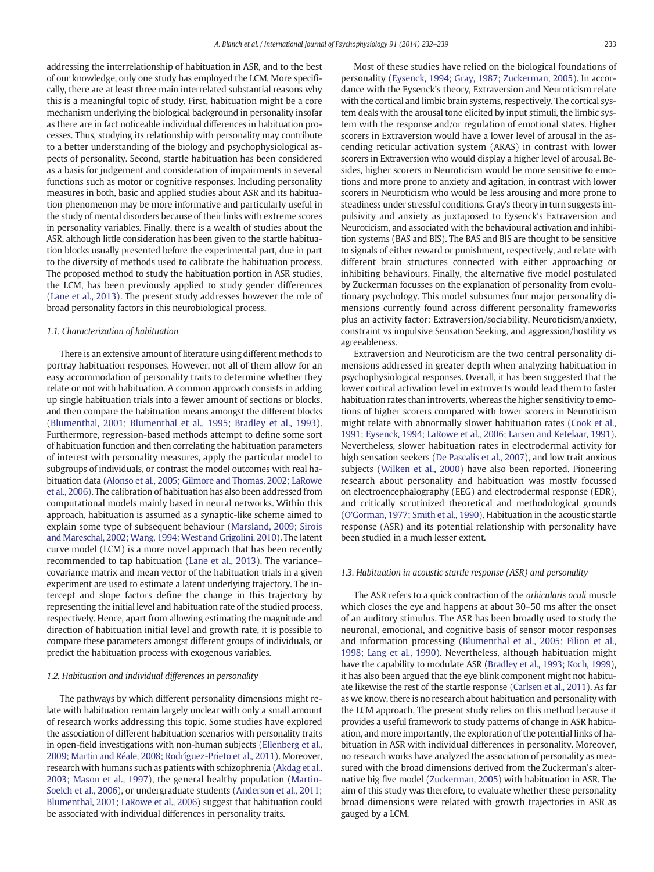addressing the interrelationship of habituation in ASR, and to the best of our knowledge, only one study has employed the LCM. More specifically, there are at least three main interrelated substantial reasons why this is a meaningful topic of study. First, habituation might be a core mechanism underlying the biological background in personality insofar as there are in fact noticeable individual differences in habituation processes. Thus, studying its relationship with personality may contribute to a better understanding of the biology and psychophysiological aspects of personality. Second, startle habituation has been considered as a basis for judgement and consideration of impairments in several functions such as motor or cognitive responses. Including personality measures in both, basic and applied studies about ASR and its habituation phenomenon may be more informative and particularly useful in the study of mental disorders because of their links with extreme scores in personality variables. Finally, there is a wealth of studies about the ASR, although little consideration has been given to the startle habituation blocks usually presented before the experimental part, due in part to the diversity of methods used to calibrate the habituation process. The proposed method to study the habituation portion in ASR studies, the LCM, has been previously applied to study gender differences (Lane et al., 2013). The present study addresses however the role of broad personality factors in this neurobiological process.

#### 1.1. Characterization of habituation

There is an extensive amount of literature using different methods to portray habituation responses. However, not all of them allow for an easy accommodation of personality traits to determine whether they relate or not with habituation. A common approach consists in adding up single habituation trials into a fewer amount of sections or blocks, and then compare the habituation means amongst the different blocks [\(Blumenthal, 2001; Blumenthal et al., 1995; Bradley et al., 1993](#page--1-0)). Furthermore, regression-based methods attempt to define some sort of habituation function and then correlating the habituation parameters of interest with personality measures, apply the particular model to subgroups of individuals, or contrast the model outcomes with real habituation data [\(Alonso et al., 2005; Gilmore and Thomas, 2002; LaRowe](#page--1-0) [et al., 2006\)](#page--1-0). The calibration of habituation has also been addressed from computational models mainly based in neural networks. Within this approach, habituation is assumed as a synaptic-like scheme aimed to explain some type of subsequent behaviour ([Marsland, 2009; Sirois](#page--1-0) and Mareschal, 2002; Wang, 1994; West and Grigolini, 2010). The latent curve model (LCM) is a more novel approach that has been recently recommended to tap habituation (Lane et al., 2013). The variance– covariance matrix and mean vector of the habituation trials in a given experiment are used to estimate a latent underlying trajectory. The intercept and slope factors define the change in this trajectory by representing the initial level and habituation rate of the studied process, respectively. Hence, apart from allowing estimating the magnitude and direction of habituation initial level and growth rate, it is possible to compare these parameters amongst different groups of individuals, or predict the habituation process with exogenous variables.

#### 1.2. Habituation and individual differences in personality

The pathways by which different personality dimensions might relate with habituation remain largely unclear with only a small amount of research works addressing this topic. Some studies have explored the association of different habituation scenarios with personality traits in open-field investigations with non-human subjects [\(Ellenberg et al.,](#page--1-0) [2009; Martin and Réale, 2008; Rodríguez-Prieto et al., 2011](#page--1-0)). Moreover, research with humans such as patients with schizophrenia ([Akdag et al.,](#page--1-0) [2003; Mason et al., 1997](#page--1-0)), the general healthy population (Martin-Soelch et al., 2006), or undergraduate students [\(Anderson et al., 2011;](#page--1-0) [Blumenthal, 2001; LaRowe et al., 2006](#page--1-0)) suggest that habituation could be associated with individual differences in personality traits.

Most of these studies have relied on the biological foundations of personality [\(Eysenck, 1994; Gray, 1987; Zuckerman, 2005\)](#page--1-0). In accordance with the Eysenck's theory, Extraversion and Neuroticism relate with the cortical and limbic brain systems, respectively. The cortical system deals with the arousal tone elicited by input stimuli, the limbic system with the response and/or regulation of emotional states. Higher scorers in Extraversion would have a lower level of arousal in the ascending reticular activation system (ARAS) in contrast with lower scorers in Extraversion who would display a higher level of arousal. Besides, higher scorers in Neuroticism would be more sensitive to emotions and more prone to anxiety and agitation, in contrast with lower scorers in Neuroticism who would be less arousing and more prone to steadiness under stressful conditions. Gray's theory in turn suggests impulsivity and anxiety as juxtaposed to Eysenck's Extraversion and Neuroticism, and associated with the behavioural activation and inhibition systems (BAS and BIS). The BAS and BIS are thought to be sensitive to signals of either reward or punishment, respectively, and relate with different brain structures connected with either approaching or inhibiting behaviours. Finally, the alternative five model postulated by Zuckerman focusses on the explanation of personality from evolutionary psychology. This model subsumes four major personality dimensions currently found across different personality frameworks plus an activity factor: Extraversion/sociability, Neuroticism/anxiety, constraint vs impulsive Sensation Seeking, and aggression/hostility vs agreeableness.

Extraversion and Neuroticism are the two central personality dimensions addressed in greater depth when analyzing habituation in psychophysiological responses. Overall, it has been suggested that the lower cortical activation level in extroverts would lead them to faster habituation rates than introverts, whereas the higher sensitivity to emotions of higher scorers compared with lower scorers in Neuroticism might relate with abnormally slower habituation rates [\(Cook et al.,](#page--1-0) [1991; Eysenck, 1994; LaRowe et al., 2006; Larsen and Ketelaar, 1991](#page--1-0)). Nevertheless, slower habituation rates in electrodermal activity for high sensation seekers (De Pascalis et al., 2007), and low trait anxious subjects (Wilken et al., 2000) have also been reported. Pioneering research about personality and habituation was mostly focussed on electroencephalography (EEG) and electrodermal response (EDR), and critically scrutinized theoretical and methodological grounds [\(O'Gorman, 1977; Smith et al., 1990](#page--1-0)). Habituation in the acoustic startle response (ASR) and its potential relationship with personality have been studied in a much lesser extent.

#### 1.3. Habituation in acoustic startle response (ASR) and personality

The ASR refers to a quick contraction of the orbicularis oculi muscle which closes the eye and happens at about 30–50 ms after the onset of an auditory stimulus. The ASR has been broadly used to study the neuronal, emotional, and cognitive basis of sensor motor responses and information processing [\(Blumenthal et al., 2005; Filion et al.,](#page--1-0) [1998; Lang et al., 1990](#page--1-0)). Nevertheless, although habituation might have the capability to modulate ASR ([Bradley et al., 1993; Koch, 1999](#page--1-0)), it has also been argued that the eye blink component might not habituate likewise the rest of the startle response (Carlsen et al., 2011). As far as we know, there is no research about habituation and personality with the LCM approach. The present study relies on this method because it provides a useful framework to study patterns of change in ASR habituation, and more importantly, the exploration of the potential links of habituation in ASR with individual differences in personality. Moreover, no research works have analyzed the association of personality as measured with the broad dimensions derived from the Zuckerman's alternative big five model (Zuckerman, 2005) with habituation in ASR. The aim of this study was therefore, to evaluate whether these personality broad dimensions were related with growth trajectories in ASR as gauged by a LCM.